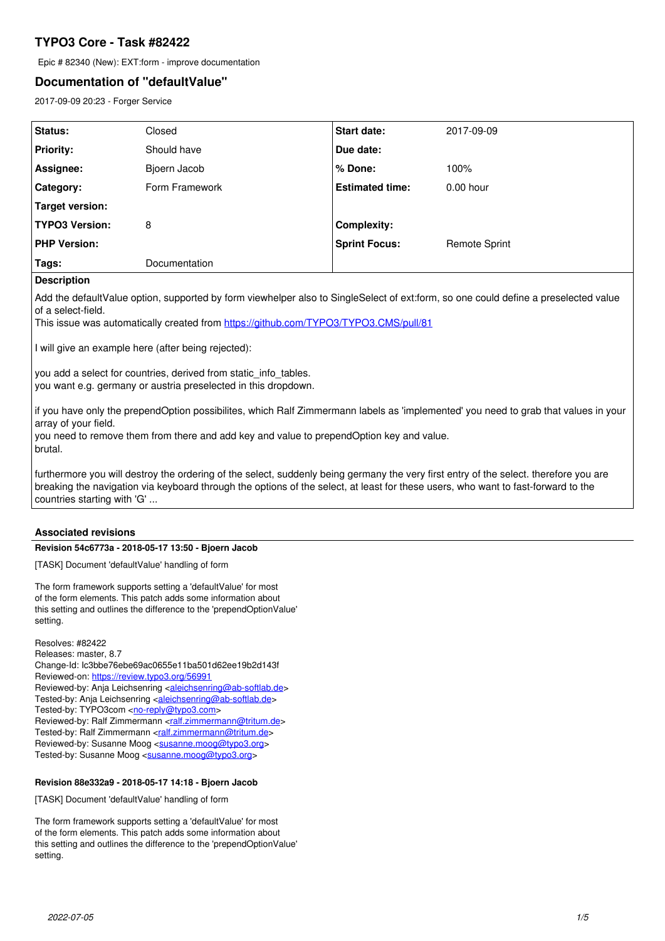# **TYPO3 Core - Task #82422**

Epic # 82340 (New): EXT:form - improve documentation

# **Documentation of "defaultValue"**

2017-09-09 20:23 - Forger Service

| Status:               | Closed               | Start date:            | 2017-09-09           |
|-----------------------|----------------------|------------------------|----------------------|
| <b>Priority:</b>      | Should have          | Due date:              |                      |
| Assignee:             | Bjoern Jacob         | % Done:                | 100%                 |
| Category:             | Form Framework       | <b>Estimated time:</b> | $0.00$ hour          |
| Target version:       |                      |                        |                      |
| <b>TYPO3 Version:</b> | 8                    | <b>Complexity:</b>     |                      |
| <b>PHP Version:</b>   |                      | <b>Sprint Focus:</b>   | <b>Remote Sprint</b> |
| Tags:                 | <b>Documentation</b> |                        |                      |

## **Description**

Add the defaultValue option, supported by form viewhelper also to SingleSelect of ext:form, so one could define a preselected value of a select-field.

This issue was automatically created from <https://github.com/TYPO3/TYPO3.CMS/pull/81>

I will give an example here (after being rejected):

you add a select for countries, derived from static info tables. you want e.g. germany or austria preselected in this dropdown.

if you have only the prependOption possibilites, which Ralf Zimmermann labels as 'implemented' you need to grab that values in your array of your field.

you need to remove them from there and add key and value to prependOption key and value. brutal.

furthermore you will destroy the ordering of the select, suddenly being germany the very first entry of the select. therefore you are breaking the navigation via keyboard through the options of the select, at least for these users, who want to fast-forward to the countries starting with 'G' ...

## **Associated revisions**

### **Revision 54c6773a - 2018-05-17 13:50 - Bjoern Jacob**

[TASK] Document 'defaultValue' handling of form

The form framework supports setting a 'defaultValue' for most of the form elements. This patch adds some information about this setting and outlines the difference to the 'prependOptionValue' setting.

Resolves: #82422 Releases: master, 8.7 Change-Id: Ic3bbe76ebe69ac0655e11ba501d62ee19b2d143f Reviewed-on:<https://review.typo3.org/56991> Reviewed-by: Anja Leichsenring [<aleichsenring@ab-softlab.de>](mailto:aleichsenring@ab-softlab.de) Tested-by: Anja Leichsenring <[aleichsenring@ab-softlab.de](mailto:aleichsenring@ab-softlab.de)> Tested-by: TYPO3com [<no-reply@typo3.com](mailto:no-reply@typo3.com)> Reviewed-by: Ralf Zimmermann [<ralf.zimmermann@tritum.de](mailto:ralf.zimmermann@tritum.de)> Tested-by: Ralf Zimmermann <[ralf.zimmermann@tritum.de](mailto:ralf.zimmermann@tritum.de)> Reviewed-by: Susanne Moog <[susanne.moog@typo3.org>](mailto:susanne.moog@typo3.org) Tested-by: Susanne Moog <[susanne.moog@typo3.org>](mailto:susanne.moog@typo3.org)

## **Revision 88e332a9 - 2018-05-17 14:18 - Bjoern Jacob**

[TASK] Document 'defaultValue' handling of form

The form framework supports setting a 'defaultValue' for most of the form elements. This patch adds some information about this setting and outlines the difference to the 'prependOptionValue' setting.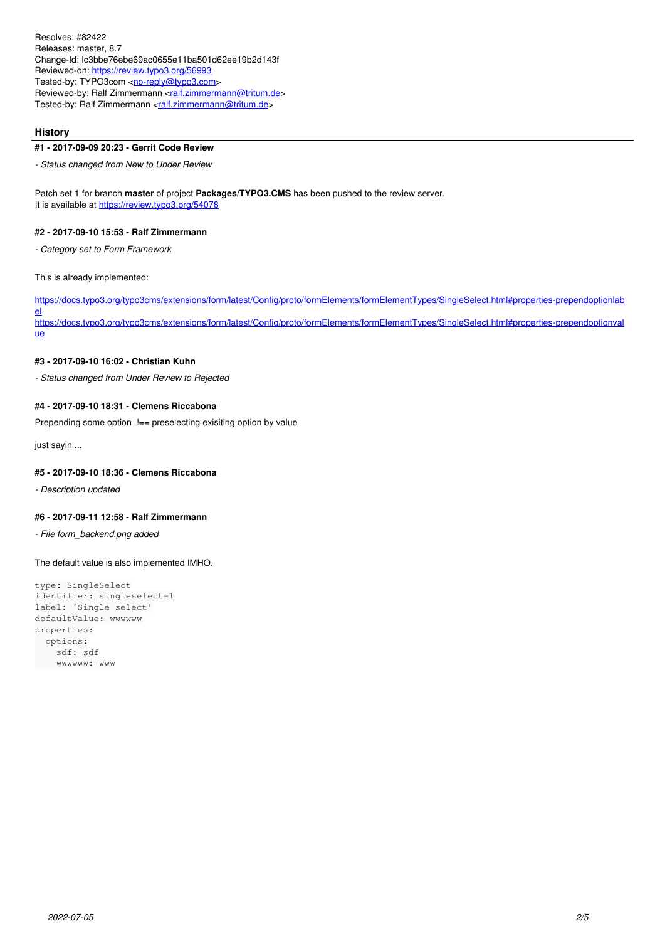Resolves: #82422 Releases: master, 8.7 Change-Id: Ic3bbe76ebe69ac0655e11ba501d62ee19b2d143f Reviewed-on:<https://review.typo3.org/56993> Tested-by: TYPO3com [<no-reply@typo3.com](mailto:no-reply@typo3.com)> Reviewed-by: Ralf Zimmermann <<u>ralf.zimmermann@tritum.de</u>> Tested-by: Ralf Zimmermann <[ralf.zimmermann@tritum.de](mailto:ralf.zimmermann@tritum.de)>

#### **History**

#### **#1 - 2017-09-09 20:23 - Gerrit Code Review**

*- Status changed from New to Under Review*

Patch set 1 for branch **master** of project **Packages/TYPO3.CMS** has been pushed to the review server. It is available at <https://review.typo3.org/54078>

#### **#2 - 2017-09-10 15:53 - Ralf Zimmermann**

*- Category set to Form Framework*

This is already implemented:

[https://docs.typo3.org/typo3cms/extensions/form/latest/Config/proto/formElements/formElementTypes/SingleSelect.html#properties-prependoptionlab](https://docs.typo3.org/typo3cms/extensions/form/latest/Config/proto/formElements/formElementTypes/SingleSelect.html#properties-prependoptionlabel) [el](https://docs.typo3.org/typo3cms/extensions/form/latest/Config/proto/formElements/formElementTypes/SingleSelect.html#properties-prependoptionlabel) [https://docs.typo3.org/typo3cms/extensions/form/latest/Config/proto/formElements/formElementTypes/SingleSelect.html#properties-prependoptionval](https://docs.typo3.org/typo3cms/extensions/form/latest/Config/proto/formElements/formElementTypes/SingleSelect.html#properties-prependoptionvalue) [ue](https://docs.typo3.org/typo3cms/extensions/form/latest/Config/proto/formElements/formElementTypes/SingleSelect.html#properties-prependoptionvalue)

### **#3 - 2017-09-10 16:02 - Christian Kuhn**

*- Status changed from Under Review to Rejected*

#### **#4 - 2017-09-10 18:31 - Clemens Riccabona**

Prepending some option  $!=$  preselecting exisiting option by value

just sayin ...

### **#5 - 2017-09-10 18:36 - Clemens Riccabona**

*- Description updated*

#### **#6 - 2017-09-11 12:58 - Ralf Zimmermann**

*- File form\_backend.png added*

The default value is also implemented IMHO.

```
type: SingleSelect
identifier: singleselect-1
label: 'Single select'
defaultValue: wwwwww
properties:
    options:
        sdf: sdf
        wwwwww: www
```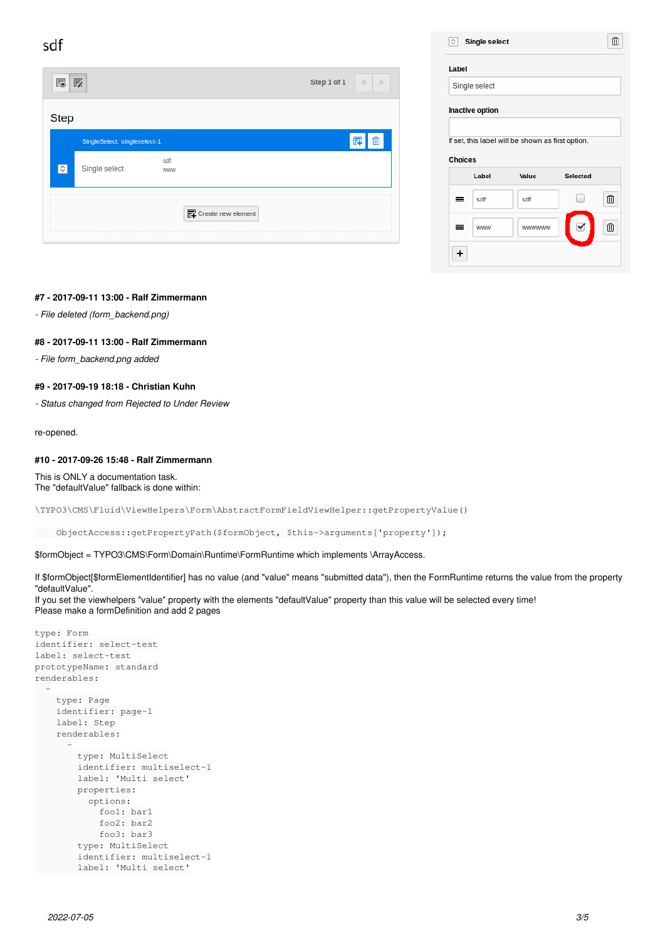sdf

| 慐           | 孱                            |                   | Step 1 of 1<br>$\ll$<br>$\gg$   |
|-------------|------------------------------|-------------------|---------------------------------|
| <b>Step</b> |                              |                   |                                 |
|             | SingleSelect: singleselect-1 |                   | ΠĪ                              |
| $\circ$     | Single select                | sdf<br><b>WWW</b> |                                 |
|             |                              |                   | $\mathbb{F}$ Create new element |

| Label                                             |   |
|---------------------------------------------------|---|
| Single select                                     |   |
| <b>Inactive option</b>                            |   |
|                                                   |   |
| If set, this label will be shown as first option. |   |
|                                                   |   |
|                                                   |   |
| <b>Choices</b>                                    |   |
| Label<br>Value<br><b>Selected</b>                 |   |
| sdf<br>sdf<br>=                                   | 血 |
|                                                   |   |

#### **#7 - 2017-09-11 13:00 - Ralf Zimmermann**

*- File deleted (form\_backend.png)*

#### **#8 - 2017-09-11 13:00 - Ralf Zimmermann**

*- File form\_backend.png added*

## **#9 - 2017-09-19 18:18 - Christian Kuhn**

*- Status changed from Rejected to Under Review*

re-opened.

#### **#10 - 2017-09-26 15:48 - Ralf Zimmermann**

This is ONLY a documentation task. The "defaultValue" fallback is done within:

\TYPO3\CMS\Fluid\ViewHelpers\Form\AbstractFormFieldViewHelper::getPropertyValue()

ObjectAccess::getPropertyPath(\$formObject, \$this->arguments['property']);

\$formObject = TYPO3\CMS\Form\Domain\Runtime\FormRuntime which implements \ArrayAccess.

If \$formObject[\$formElementIdentifier] has no value (and "value" means "submitted data"), then the FormRuntime returns the value from the property "defaultValue".

If you set the viewhelpers "value" property with the elements "defaultValue" property than this value will be selected every time! Please make a formDefinition and add 2 pages

```
type: Form
identifier: select-test
label: select-test
prototypeName: standard
renderables:
  -
         type: Page
         identifier: page-1
         label: Step
         renderables:
      -
                  type: MultiSelect
                  identifier: multiselect-1
                   label: 'Multi select'
                  properties:
                       options:
                           foo1: bar1
                           foo2: bar2
                            foo3: bar3
                   type: MultiSelect
                   identifier: multiselect-1
                   label: 'Multi select'
```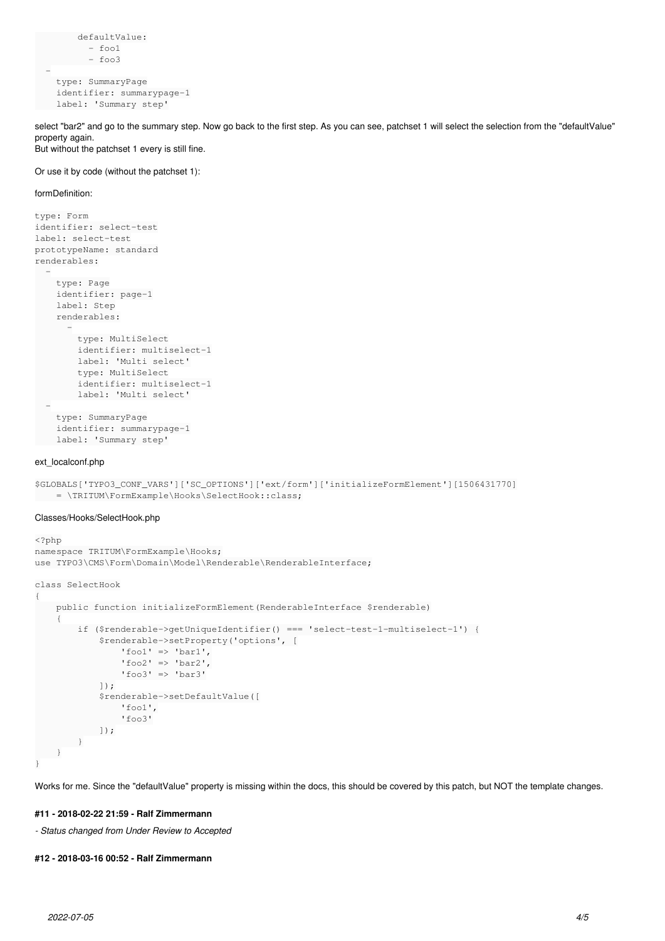```
        defaultValue:
         - fool
        - foo3
   -
       type: SummaryPage
       identifier: summarypage-1
    label: 'Summary step'
```
select "bar2" and go to the summary step. Now go back to the first step. As you can see, patchset 1 will select the selection from the "defaultValue" property again. But without the patchset 1 every is still fine.

#### Or use it by code (without the patchset 1):

#### formDefinition:

```
type: Form
identifier: select-test
label: select-test
prototypeName: standard
renderables:
  -
        type: Page
        identifier: page-1
        label: Step
        renderables:
      -
                 type: MultiSelect
                 identifier: multiselect-1
                 label: 'Multi select'
                 type: MultiSelect
                 identifier: multiselect-1
               label: 'Multi select'
  -
        type: SummaryPage
        identifier: summarypage-1
        label: 'Summary step'
```
#### ext\_localconf.php

```
$GLOBALS['TYPO3_CONF_VARS']['SC_OPTIONS']['ext/form']['initializeFormElement'][1506431770]
       = \TRITUM\FormExample\Hooks\SelectHook::class;
```
#### Classes/Hooks/SelectHook.php

```
<?php
namespace TRITUM\FormExample\Hooks;
use TYPO3\CMS\Form\Domain\Model\Renderable\RenderableInterface;
class SelectHook
{
         public function initializeFormElement(RenderableInterface $renderable)
         {
                   if ($renderable->getUniqueIdentifier() === 'select-test-1-multiselect-1') {
                            $renderable->setProperty('options', [
                      'foo1' => 'bar1',
                      'foo2' => 'bar2',
                                      'foo3' => 'bar3'
                            ]);
                             $renderable->setDefaultValue([
                                      'foo1',
                                      'foo3'
                          ]);
       \qquad \qquad \}\left\{\begin{array}{c}1\end{array}\right\}}
```
Works for me. Since the "defaultValue" property is missing within the docs, this should be covered by this patch, but NOT the template changes.

### **#11 - 2018-02-22 21:59 - Ralf Zimmermann**

*- Status changed from Under Review to Accepted*

#### **#12 - 2018-03-16 00:52 - Ralf Zimmermann**